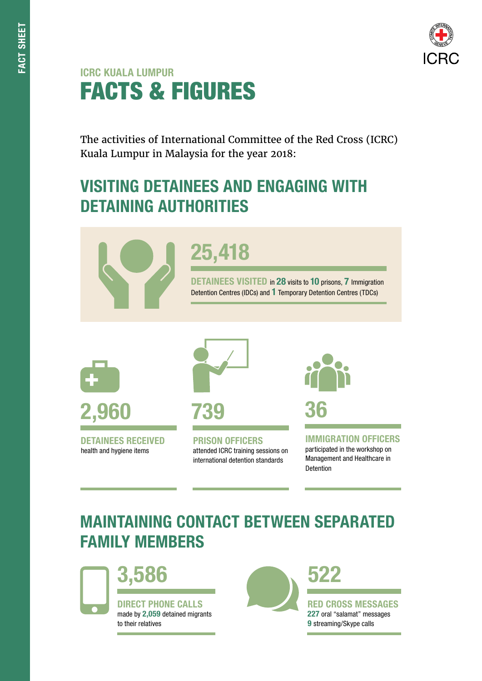#### ICRC KUALA LUMPUR FACTS & FIGURES

The activities of International Committee of the Red Cross (ICRC) Kuala Lumpur in Malaysia for the year 2018:

### VISITING DETAINEES AND ENGAGING WITH DETAINING AUTHORITIES



# 25,418

DETAINEES VISITED in 28 visits to 10 prisons, 7 Immigration Detention Centres (IDCs) and 1 Temporary Detention Centres (TDCs)



DETAINEES RECEIVED health and hygiene items



PRISON OFFICERS attended ICRC training sessions on international detention standards



IMMIGRATION OFFICERS participated in the workshop on Management and Healthcare in Detention

# MAINTAINING CONTACT BETWEEN SEPARATED FAMILY MEMBERS



3,586

DIRECT PHONE CALLS made by 2,059 detained migrants to their relatives